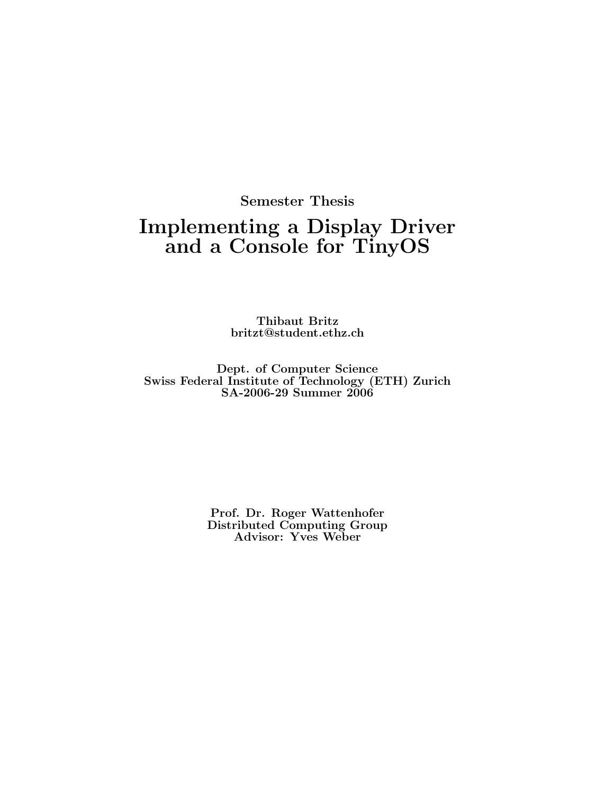## **Semester Thesis**

## **Implementing a Display Driver and a Console for TinyOS**

**Thibaut Britz britzt@student.ethz.ch**

**Dept. of Computer Science Swiss Federal Institute of Technology (ETH) Zurich SA-2006-29 Summer 2006**

> **Prof. Dr. Roger Wattenhofer Distributed Computing Group Advisor: Yves Weber**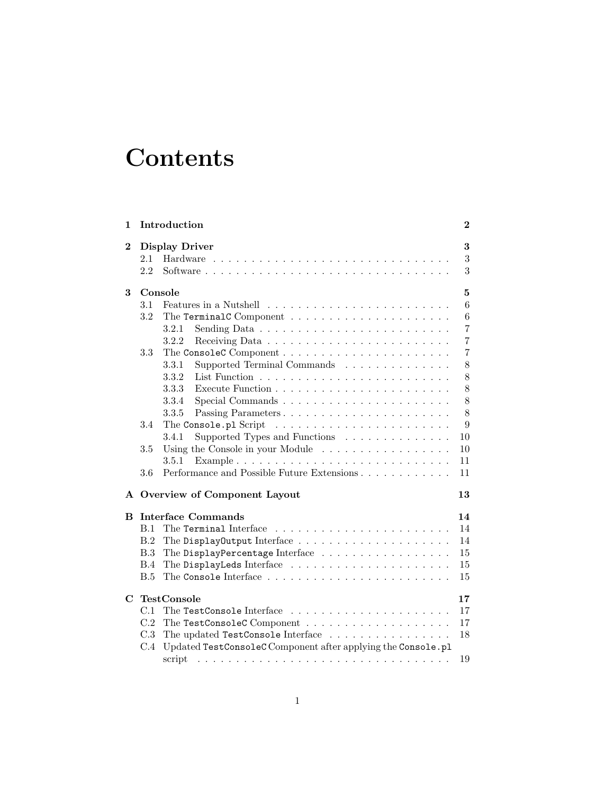## **Contents**

| 1 |                           | Introduction                                                                                                                                                                                                                                            | $\boldsymbol{2}$      |  |  |
|---|---------------------------|---------------------------------------------------------------------------------------------------------------------------------------------------------------------------------------------------------------------------------------------------------|-----------------------|--|--|
| 2 | <b>Display Driver</b>     |                                                                                                                                                                                                                                                         |                       |  |  |
|   | 2.1                       |                                                                                                                                                                                                                                                         | 3<br>$\boldsymbol{3}$ |  |  |
|   | 2.2                       |                                                                                                                                                                                                                                                         | 3                     |  |  |
| 3 | Console                   |                                                                                                                                                                                                                                                         |                       |  |  |
|   | 3.1                       |                                                                                                                                                                                                                                                         | $6\phantom{.}6$       |  |  |
|   | 3.2                       |                                                                                                                                                                                                                                                         | $6\phantom{.}6$       |  |  |
|   |                           | 3.2.1                                                                                                                                                                                                                                                   | $\overline{7}$        |  |  |
|   |                           | 3.2.2                                                                                                                                                                                                                                                   | $\overline{7}$        |  |  |
|   | 3.3                       |                                                                                                                                                                                                                                                         | $\overline{7}$        |  |  |
|   |                           | 3.3.1<br>Supported Terminal Commands                                                                                                                                                                                                                    | $8\,$                 |  |  |
|   |                           | 3.3.2                                                                                                                                                                                                                                                   | 8                     |  |  |
|   |                           | 3.3.3                                                                                                                                                                                                                                                   | 8                     |  |  |
|   |                           | 3.3.4                                                                                                                                                                                                                                                   | 8                     |  |  |
|   |                           | 3.3.5<br>Passing Parameters                                                                                                                                                                                                                             | 8                     |  |  |
|   | 3.4                       | The Console.pl Script<br>the contract of the contract of the contract of the contract of the contract of the contract of the contract of the contract of the contract of the contract of the contract of the contract of the contract of the contract o | 9                     |  |  |
|   |                           | Supported Types and Functions<br>3.4.1                                                                                                                                                                                                                  | 10                    |  |  |
|   | 3.5                       | Using the Console in your Module                                                                                                                                                                                                                        | 10                    |  |  |
|   |                           | 3.5.1                                                                                                                                                                                                                                                   | 11                    |  |  |
|   | 3.6                       |                                                                                                                                                                                                                                                         | 11                    |  |  |
|   |                           | A Overview of Component Layout                                                                                                                                                                                                                          | 13                    |  |  |
| в | <b>Interface Commands</b> |                                                                                                                                                                                                                                                         |                       |  |  |
|   | B.1                       |                                                                                                                                                                                                                                                         | 14                    |  |  |
|   | B.2                       |                                                                                                                                                                                                                                                         | 14                    |  |  |
|   | B.3                       | The DisplayPercentage Interface                                                                                                                                                                                                                         | 15                    |  |  |
|   | B.4                       |                                                                                                                                                                                                                                                         | 15                    |  |  |
|   | B.5                       |                                                                                                                                                                                                                                                         | 15                    |  |  |
| С | <b>TestConsole</b><br>17  |                                                                                                                                                                                                                                                         |                       |  |  |
|   | C.1                       |                                                                                                                                                                                                                                                         | 17                    |  |  |
|   | C.2                       |                                                                                                                                                                                                                                                         | 17                    |  |  |
|   | C.3                       | The updated TestConsole Interface                                                                                                                                                                                                                       | 18                    |  |  |
|   | C.4                       | Updated TestConsoleC Component after applying the Console.pl                                                                                                                                                                                            |                       |  |  |
|   |                           | script                                                                                                                                                                                                                                                  | 19                    |  |  |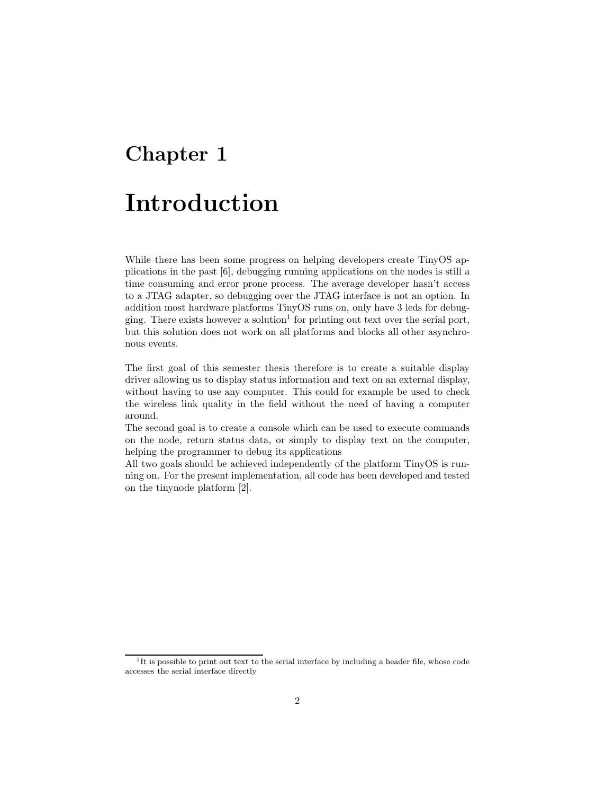# **Chapter 1**

## **Introduction**

While there has been some progress on helping developers create TinyOS applications in the past [6], debugging running applications on the nodes is still a time consuming and error prone process. The average developer hasn't access to a JTAG adapter, so debugging over the JTAG interface is not an option. In addition most hardware platforms TinyOS runs on, only have 3 leds for debugging. There exists however a solution<sup>1</sup> for printing out text over the serial port, but this solution does not work on all platforms and blocks all other asynchronous events.

The first goal of this semester thesis therefore is to create a suitable display driver allowing us to display status information and text on an external display, without having to use any computer. This could for example be used to check the wireless link quality in the field without the need of having a computer around.

The second goal is to create a console which can be used to execute commands on the node, return status data, or simply to display text on the computer, helping the programmer to debug its applications

All two goals should be achieved independently of the platform TinyOS is running on. For the present implementation, all code has been developed and tested on the tinynode platform [2].

<sup>&</sup>lt;sup>1</sup>It is possible to print out text to the serial interface by including a header file, whose code accesses the serial interface directly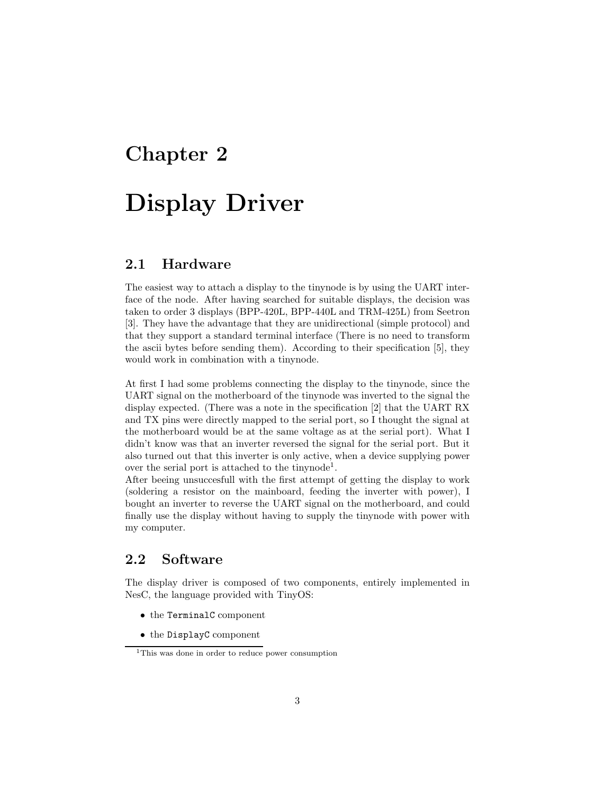# **Chapter 2 Display Driver**

### **2.1 Hardware**

The easiest way to attach a display to the tinynode is by using the UART interface of the node. After having searched for suitable displays, the decision was taken to order 3 displays (BPP-420L, BPP-440L and TRM-425L) from Seetron [3]. They have the advantage that they are unidirectional (simple protocol) and that they support a standard terminal interface (There is no need to transform the ascii bytes before sending them). According to their specification [5], they would work in combination with a tinynode.

At first I had some problems connecting the display to the tinynode, since the UART signal on the motherboard of the tinynode was inverted to the signal the display expected. (There was a note in the specification [2] that the UART RX and TX pins were directly mapped to the serial port, so I thought the signal at the motherboard would be at the same voltage as at the serial port). What I didn't know was that an inverter reversed the signal for the serial port. But it also turned out that this inverter is only active, when a device supplying power over the serial port is attached to the tinynode<sup>1</sup>.

After beeing unsuccesfull with the first attempt of getting the display to work (soldering a resistor on the mainboard, feeding the inverter with power), I bought an inverter to reverse the UART signal on the motherboard, and could finally use the display without having to supply the tinynode with power with my computer.

## **2.2 Software**

The display driver is composed of two components, entirely implemented in NesC, the language provided with TinyOS:

- *•* the TerminalC component
- *•* the DisplayC component

<sup>1</sup>This was done in order to reduce power consumption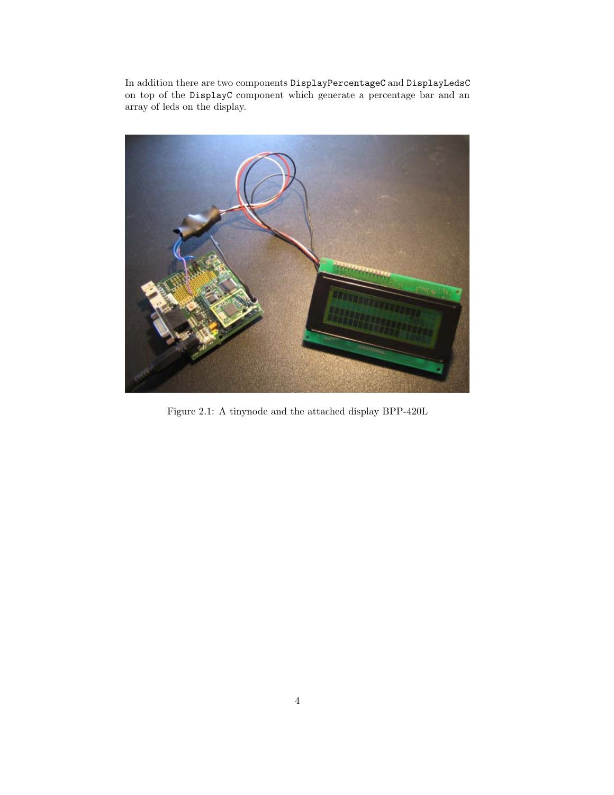In addition there are two components DisplayPercentageC and DisplayLedsC on top of the DisplayC component which generate a percentage bar and an array of leds on the display.



Figure 2.1: A tinynode and the attached display BPP-420L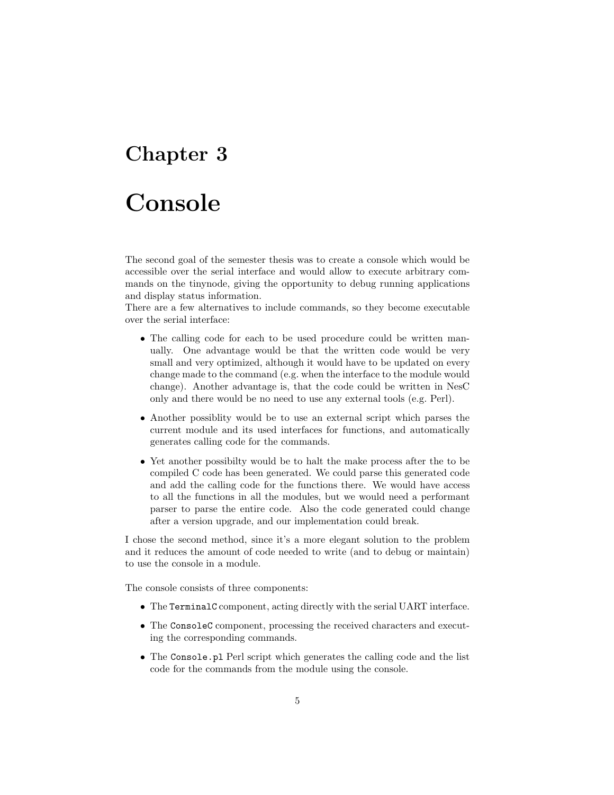## **Chapter 3**

## **Console**

The second goal of the semester thesis was to create a console which would be accessible over the serial interface and would allow to execute arbitrary commands on the tinynode, giving the opportunity to debug running applications and display status information.

There are a few alternatives to include commands, so they become executable over the serial interface:

- The calling code for each to be used procedure could be written manually. One advantage would be that the written code would be very small and very optimized, although it would have to be updated on every change made to the command (e.g. when the interface to the module would change). Another advantage is, that the code could be written in NesC only and there would be no need to use any external tools (e.g. Perl).
- Another possiblity would be to use an external script which parses the current module and its used interfaces for functions, and automatically generates calling code for the commands.
- Yet another possibilty would be to halt the make process after the to be compiled C code has been generated. We could parse this generated code and add the calling code for the functions there. We would have access to all the functions in all the modules, but we would need a performant parser to parse the entire code. Also the code generated could change after a version upgrade, and our implementation could break.

I chose the second method, since it's a more elegant solution to the problem and it reduces the amount of code needed to write (and to debug or maintain) to use the console in a module.

The console consists of three components:

- *•* The TerminalC component, acting directly with the serial UART interface.
- The ConsoleC component, processing the received characters and executing the corresponding commands.
- *•* The Console.pl Perl script which generates the calling code and the list code for the commands from the module using the console.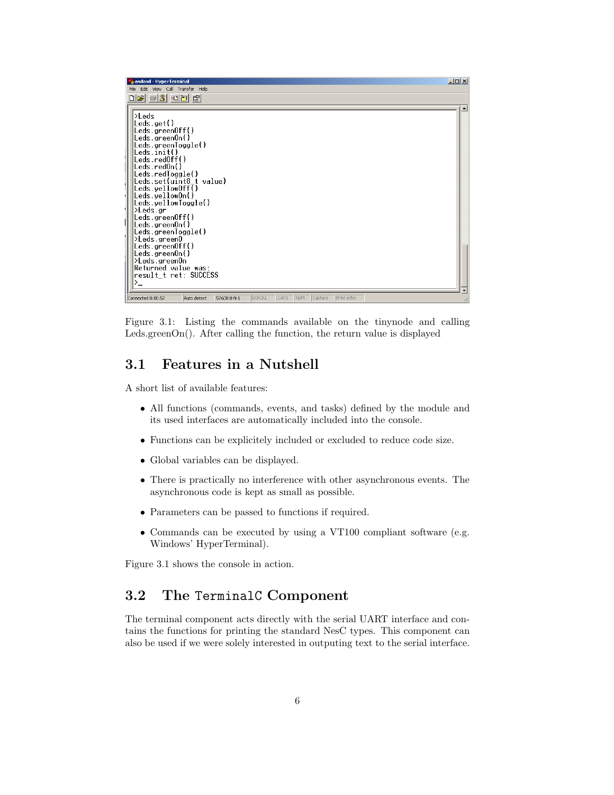| asdasd - HyperTerminal                                                                                                                                                                                                                                                                                                                                                                                                                                                                       |  |  |  |  |  |  |
|----------------------------------------------------------------------------------------------------------------------------------------------------------------------------------------------------------------------------------------------------------------------------------------------------------------------------------------------------------------------------------------------------------------------------------------------------------------------------------------------|--|--|--|--|--|--|
| File Edit View Call Transfer Help                                                                                                                                                                                                                                                                                                                                                                                                                                                            |  |  |  |  |  |  |
| $\Box \left[ \biguplus \left[ \biguplus \left[ \biguplus \right] \right] \otimes \left[ \biguplus \right] \left[ \biguplus \right] \left[ \biguplus \right]$                                                                                                                                                                                                                                                                                                                                 |  |  |  |  |  |  |
| $\geq$ Leds<br>$\textsf{Leds.get}()$<br>Leds.greenOff()<br>Leds.greenOn()<br>Leds.greenToggle()<br>$\textsf{Leds.init}()$<br>Leds.redOff()<br>Leds.red0n()<br>Leds.redToggle()<br>Leds.set(uint8_t_value)<br>Leds.yellowOff()<br>Leds.yellowOn()<br>Leds.yellowToggle()<br> >Leds.gr<br>$\textsf{Leds.greenOff}()$<br>Leds.greenOn()<br>'Leds.greenToggle()<br>>Leds.green0<br>$\textsf{Leds.greenOff}()$<br>[/Leds.greenOn<br>>Leds.greenOn<br>Returned value was:<br>result_t_ret:_SUCCESS |  |  |  |  |  |  |
| SCROLL<br>CAPS<br>NUM<br>Print echo<br>Capture<br>Connected 0:00:57<br>Auto detect<br>57600 8-N-1                                                                                                                                                                                                                                                                                                                                                                                            |  |  |  |  |  |  |

Figure 3.1: Listing the commands available on the tinynode and calling Leds.greenOn(). After calling the function, the return value is displayed

### **3.1 Features in a Nutshell**

A short list of available features:

- *•* All functions (commands, events, and tasks) defined by the module and its used interfaces are automatically included into the console.
- *•* Functions can be explicitely included or excluded to reduce code size.
- *•* Global variables can be displayed.
- *•* There is practically no interference with other asynchronous events. The asynchronous code is kept as small as possible.
- *•* Parameters can be passed to functions if required.
- *•* Commands can be executed by using a VT100 compliant software (e.g. Windows' HyperTerminal).

Figure 3.1 shows the console in action.

### **3.2 The** TerminalC **Component**

The terminal component acts directly with the serial UART interface and contains the functions for printing the standard NesC types. This component can also be used if we were solely interested in outputing text to the serial interface.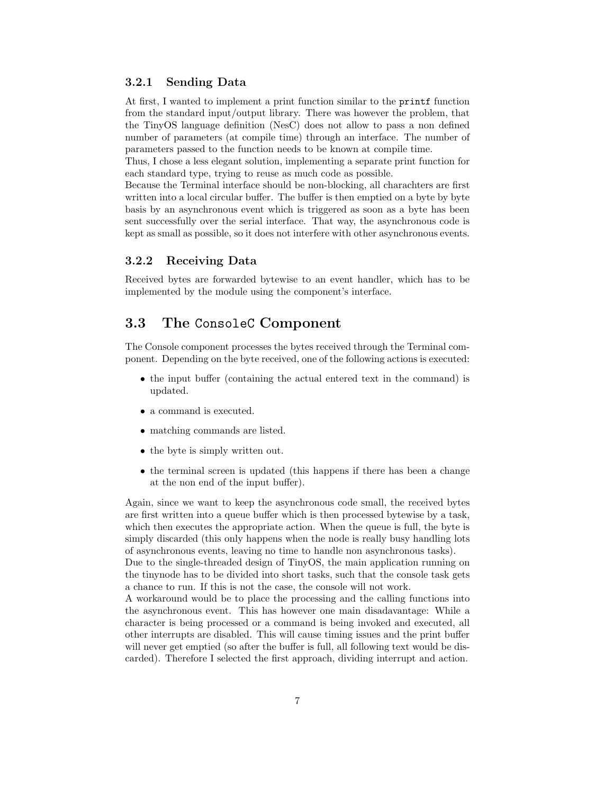#### **3.2.1 Sending Data**

At first, I wanted to implement a print function similar to the printf function from the standard input/output library. There was however the problem, that the TinyOS language definition (NesC) does not allow to pass a non defined number of parameters (at compile time) through an interface. The number of parameters passed to the function needs to be known at compile time.

Thus, I chose a less elegant solution, implementing a separate print function for each standard type, trying to reuse as much code as possible.

Because the Terminal interface should be non-blocking, all charachters are first written into a local circular buffer. The buffer is then emptied on a byte by byte basis by an asynchronous event which is triggered as soon as a byte has been sent successfully over the serial interface. That way, the asynchronous code is kept as small as possible, so it does not interfere with other asynchronous events.

#### **3.2.2 Receiving Data**

Received bytes are forwarded bytewise to an event handler, which has to be implemented by the module using the component's interface.

### **3.3 The** ConsoleC **Component**

The Console component processes the bytes received through the Terminal component. Depending on the byte received, one of the following actions is executed:

- the input buffer (containing the actual entered text in the command) is updated.
- a command is executed.
- matching commands are listed.
- the byte is simply written out.
- the terminal screen is updated (this happens if there has been a change at the non end of the input buffer).

Again, since we want to keep the asynchronous code small, the received bytes are first written into a queue buffer which is then processed bytewise by a task, which then executes the appropriate action. When the queue is full, the byte is simply discarded (this only happens when the node is really busy handling lots of asynchronous events, leaving no time to handle non asynchronous tasks).

Due to the single-threaded design of TinyOS, the main application running on the tinynode has to be divided into short tasks, such that the console task gets a chance to run. If this is not the case, the console will not work.

A workaround would be to place the processing and the calling functions into the asynchronous event. This has however one main disadavantage: While a character is being processed or a command is being invoked and executed, all other interrupts are disabled. This will cause timing issues and the print buffer will never get emptied (so after the buffer is full, all following text would be discarded). Therefore I selected the first approach, dividing interrupt and action.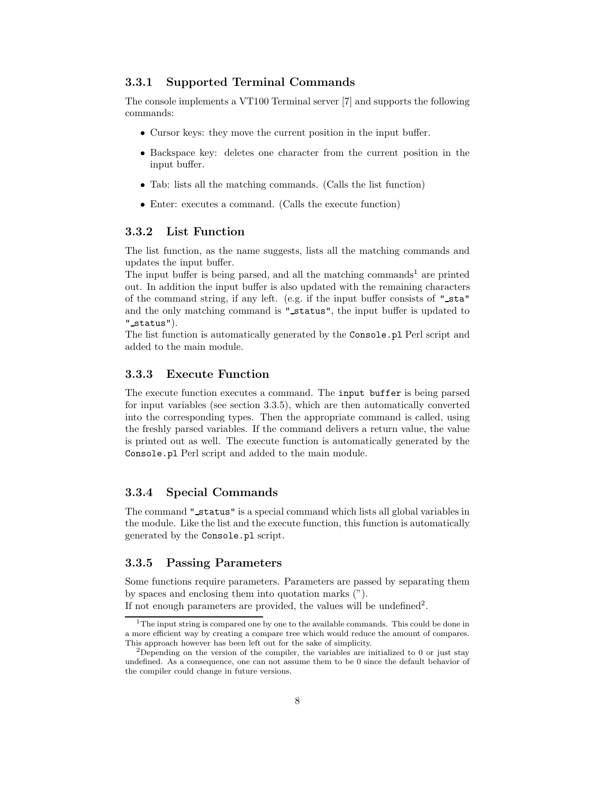#### **3.3.1 Supported Terminal Commands**

The console implements a VT100 Terminal server [7] and supports the following commands:

- *•* Cursor keys: they move the current position in the input buffer.
- Backspace key: deletes one character from the current position in the input buffer.
- *•* Tab: lists all the matching commands. (Calls the list function)
- *•* Enter: executes a command. (Calls the execute function)

#### **3.3.2 List Function**

The list function, as the name suggests, lists all the matching commands and updates the input buffer.

The input buffer is being parsed, and all the matching commands<sup>1</sup> are printed out. In addition the input buffer is also updated with the remaining characters of the command string, if any left. (e.g. if the input buffer consists of "sta" and the only matching command is " status", the input buffer is updated to " status").

The list function is automatically generated by the Console.pl Perl script and added to the main module.

#### **3.3.3 Execute Function**

The execute function executes a command. The input buffer is being parsed for input variables (see section 3.3.5), which are then automatically converted into the corresponding types. Then the appropriate command is called, using the freshly parsed variables. If the command delivers a return value, the value is printed out as well. The execute function is automatically generated by the Console.pl Perl script and added to the main module.

#### **3.3.4 Special Commands**

The command "status" is a special command which lists all global variables in the module. Like the list and the execute function, this function is automatically generated by the Console.pl script.

#### **3.3.5 Passing Parameters**

Some functions require parameters. Parameters are passed by separating them by spaces and enclosing them into quotation marks (").

If not enough parameters are provided, the values will be undefined<sup>2</sup>.

<sup>&</sup>lt;sup>1</sup>The input string is compared one by one to the available commands. This could be done in a more efficient way by creating a compare tree which would reduce the amount of compares. This approach however has been left out for the sake of simplicity.

<sup>&</sup>lt;sup>2</sup>Depending on the version of the compiler, the variables are initialized to 0 or just stay undefined. As a consequence, one can not assume them to be 0 since the default behavior of the compiler could change in future versions.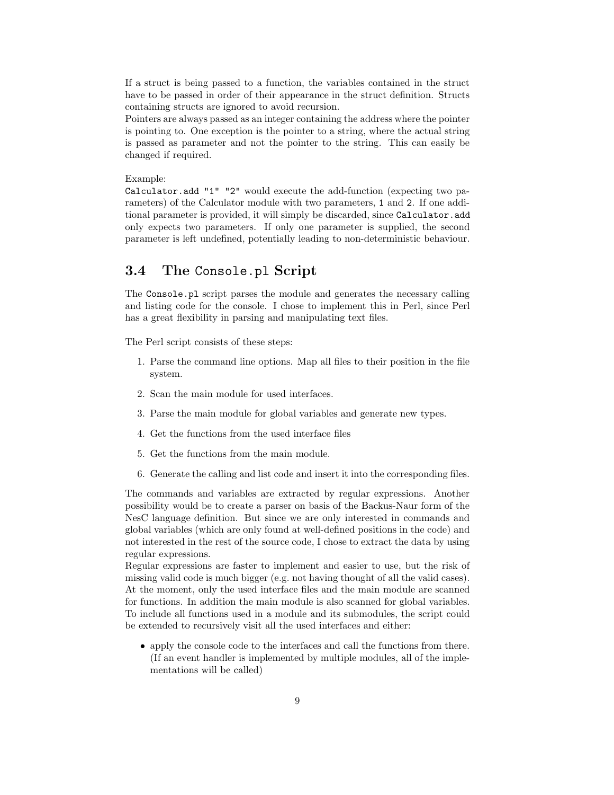If a struct is being passed to a function, the variables contained in the struct have to be passed in order of their appearance in the struct definition. Structs containing structs are ignored to avoid recursion.

Pointers are always passed as an integer containing the address where the pointer is pointing to. One exception is the pointer to a string, where the actual string is passed as parameter and not the pointer to the string. This can easily be changed if required.

Example:

Calculator.add "1" "2" would execute the add-function (expecting two parameters) of the Calculator module with two parameters, 1 and 2. If one additional parameter is provided, it will simply be discarded, since Calculator.add only expects two parameters. If only one parameter is supplied, the second parameter is left undefined, potentially leading to non-deterministic behaviour.

### **3.4 The** Console.pl **Script**

The Console.pl script parses the module and generates the necessary calling and listing code for the console. I chose to implement this in Perl, since Perl has a great flexibility in parsing and manipulating text files.

The Perl script consists of these steps:

- 1. Parse the command line options. Map all files to their position in the file system.
- 2. Scan the main module for used interfaces.
- 3. Parse the main module for global variables and generate new types.
- 4. Get the functions from the used interface files
- 5. Get the functions from the main module.
- 6. Generate the calling and list code and insert it into the corresponding files.

The commands and variables are extracted by regular expressions. Another possibility would be to create a parser on basis of the Backus-Naur form of the NesC language definition. But since we are only interested in commands and global variables (which are only found at well-defined positions in the code) and not interested in the rest of the source code, I chose to extract the data by using regular expressions.

Regular expressions are faster to implement and easier to use, but the risk of missing valid code is much bigger (e.g. not having thought of all the valid cases). At the moment, only the used interface files and the main module are scanned for functions. In addition the main module is also scanned for global variables. To include all functions used in a module and its submodules, the script could be extended to recursively visit all the used interfaces and either:

• apply the console code to the interfaces and call the functions from there. (If an event handler is implemented by multiple modules, all of the implementations will be called)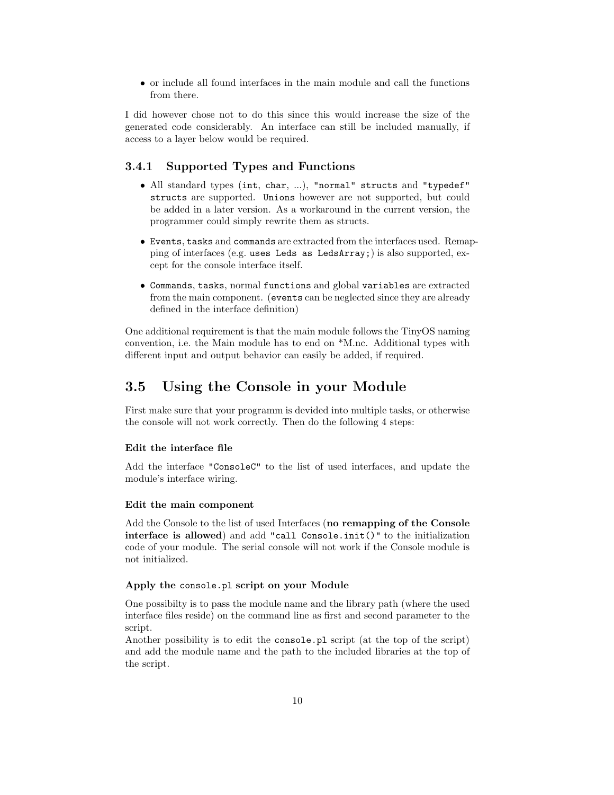*•* or include all found interfaces in the main module and call the functions from there.

I did however chose not to do this since this would increase the size of the generated code considerably. An interface can still be included manually, if access to a layer below would be required.

#### **3.4.1 Supported Types and Functions**

- *•* All standard types (int, char, ...), "normal" structs and "typedef" structs are supported. Unions however are not supported, but could be added in a later version. As a workaround in the current version, the programmer could simply rewrite them as structs.
- *•* Events, tasks and commands are extracted from the interfaces used. Remapping of interfaces (e.g. uses Leds as LedsArray;) is also supported, except for the console interface itself.
- *•* Commands, tasks, normal functions and global variables are extracted from the main component. (events can be neglected since they are already defined in the interface definition)

One additional requirement is that the main module follows the TinyOS naming convention, i.e. the Main module has to end on \*M.nc. Additional types with different input and output behavior can easily be added, if required.

### **3.5 Using the Console in your Module**

First make sure that your programm is devided into multiple tasks, or otherwise the console will not work correctly. Then do the following 4 steps:

#### **Edit the interface file**

Add the interface "ConsoleC" to the list of used interfaces, and update the module's interface wiring.

#### **Edit the main component**

Add the Console to the list of used Interfaces (**no remapping of the Console interface is allowed**) and add "call Console.init()" to the initialization code of your module. The serial console will not work if the Console module is not initialized.

#### **Apply the** console.pl **script on your Module**

One possibilty is to pass the module name and the library path (where the used interface files reside) on the command line as first and second parameter to the script.

Another possibility is to edit the console.pl script (at the top of the script) and add the module name and the path to the included libraries at the top of the script.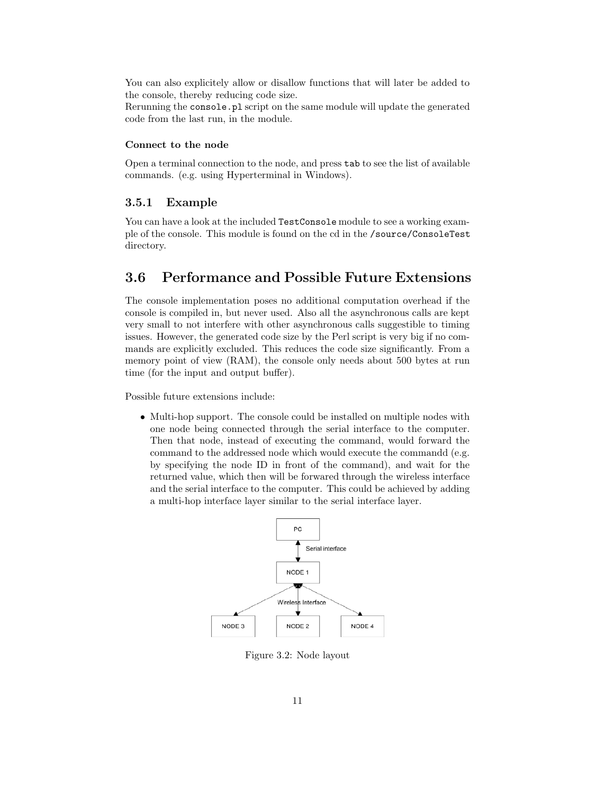You can also explicitely allow or disallow functions that will later be added to the console, thereby reducing code size.

Rerunning the console.pl script on the same module will update the generated code from the last run, in the module.

#### **Connect to the node**

Open a terminal connection to the node, and press tab to see the list of available commands. (e.g. using Hyperterminal in Windows).

#### **3.5.1 Example**

You can have a look at the included TestConsole module to see a working example of the console. This module is found on the cd in the /source/ConsoleTest directory.

### **3.6 Performance and Possible Future Extensions**

The console implementation poses no additional computation overhead if the console is compiled in, but never used. Also all the asynchronous calls are kept very small to not interfere with other asynchronous calls suggestible to timing issues. However, the generated code size by the Perl script is very big if no commands are explicitly excluded. This reduces the code size significantly. From a memory point of view (RAM), the console only needs about 500 bytes at run time (for the input and output buffer).

Possible future extensions include:

*•* Multi-hop support. The console could be installed on multiple nodes with one node being connected through the serial interface to the computer. Then that node, instead of executing the command, would forward the command to the addressed node which would execute the commandd (e.g. by specifying the node ID in front of the command), and wait for the returned value, which then will be forwared through the wireless interface and the serial interface to the computer. This could be achieved by adding a multi-hop interface layer similar to the serial interface layer.



Figure 3.2: Node layout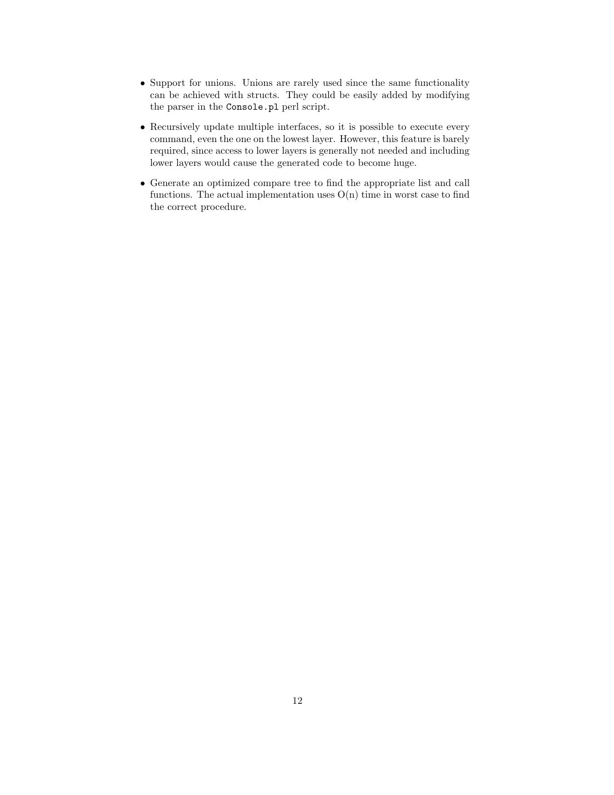- *•* Support for unions. Unions are rarely used since the same functionality can be achieved with structs. They could be easily added by modifying the parser in the Console.pl perl script.
- *•* Recursively update multiple interfaces, so it is possible to execute every command, even the one on the lowest layer. However, this feature is barely required, since access to lower layers is generally not needed and including lower layers would cause the generated code to become huge.
- *•* Generate an optimized compare tree to find the appropriate list and call functions. The actual implementation uses  $O(n)$  time in worst case to find the correct procedure.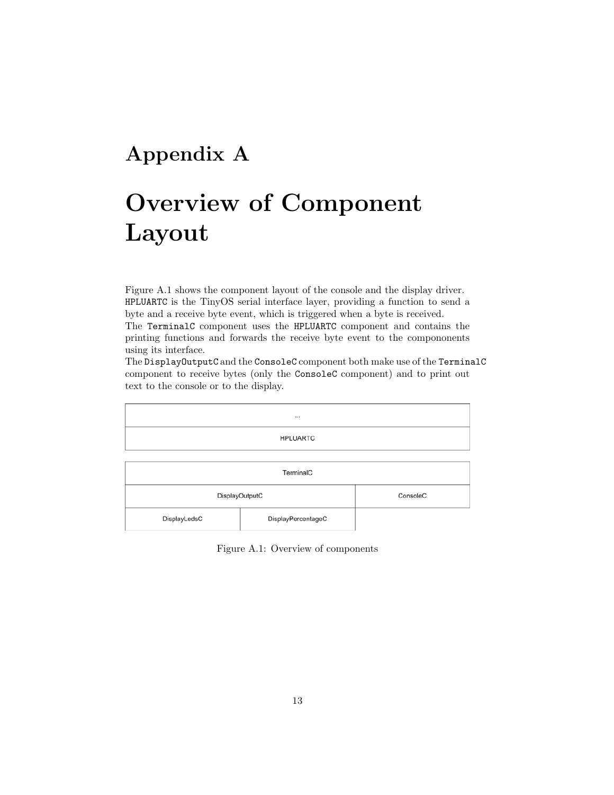## **Appendix A**

## **Overview of Component Layout**

Figure A.1 shows the component layout of the console and the display driver. HPLUARTC is the TinyOS serial interface layer, providing a function to send a byte and a receive byte event, which is triggered when a byte is received.

The TerminalC component uses the HPLUARTC component and contains the printing functions and forwards the receive byte event to the compononents using its interface.

The DisplayOutputC and the ConsoleC component both make use of the TerminalC component to receive bytes (only the ConsoleC component) and to print out text to the console or to the display.

| <b>HPLUARTC</b> |                    |  |  |  |  |  |
|-----------------|--------------------|--|--|--|--|--|
|                 |                    |  |  |  |  |  |
| TerminalC       |                    |  |  |  |  |  |
| DisplayOutputC  | ConsoleC           |  |  |  |  |  |
| DisplayLedsC    | DisplayPercentageC |  |  |  |  |  |

Figure A.1: Overview of components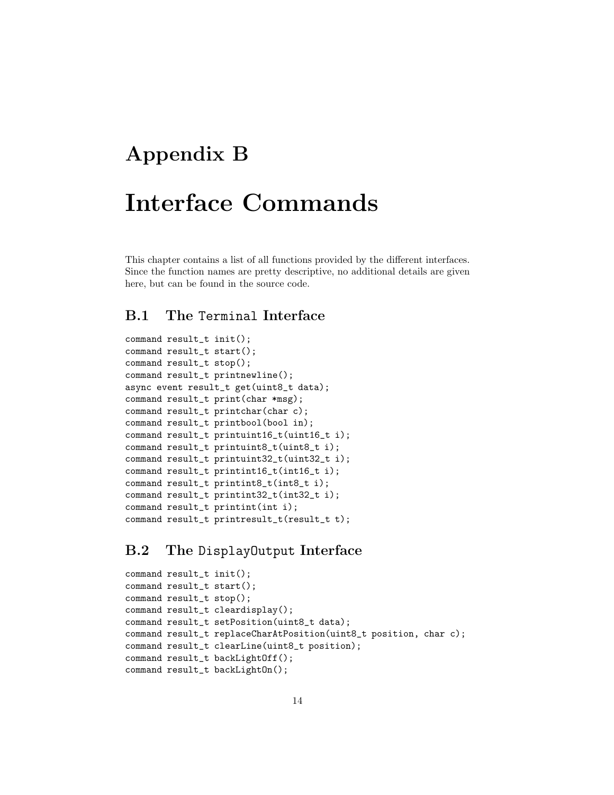## **Appendix B**

## **Interface Commands**

This chapter contains a list of all functions provided by the different interfaces. Since the function names are pretty descriptive, no additional details are given here, but can be found in the source code.

### **B.1 The** Terminal **Interface**

```
command result_t init();
command result_t start();
command result_t stop();
command result_t printnewline();
async event result_t get(uint8_t data);
command result_t print(char *msg);
command result_t printchar(char c);
command result_t printbool(bool in);
command result_t printuint16_t(uint16_t i);
command result_t printuint8_t(uint8_t i);
command result_t printuint32_t(uint32_t i);
command result_t printint16_t(int16_t i);
command result_t printint8_t(int8_t i);
command result_t printint32_t(int32_t i);
command result_t printint(int i);
command result_t printresult_t(result_t t);
```
### **B.2 The** DisplayOutput **Interface**

```
command result_t init();
command result_t start();
command result_t stop();
command result_t cleardisplay();
command result_t setPosition(uint8_t data);
command result_t replaceCharAtPosition(uint8_t position, char c);
command result_t clearLine(uint8_t position);
command result_t backLightOff();
command result_t backLightOn();
```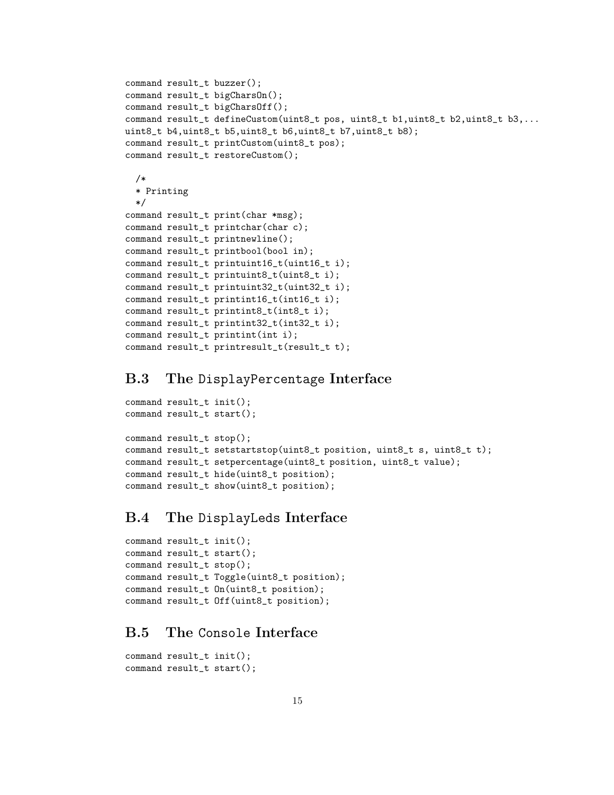```
command result_t buzzer();
command result_t bigCharsOn();
command result_t bigCharsOff();
command result_t defineCustom(uint8_t pos, uint8_t b1,uint8_t b2,uint8_t b3,...
uint8_t b4,uint8_t b5,uint8_t b6,uint8_t b7,uint8_t b8);
command result_t printCustom(uint8_t pos);
command result_t restoreCustom();
 /*
 * Printing
 */
command result_t print(char *msg);
command result_t printchar(char c);
command result_t printnewline();
command result_t printbool(bool in);
command result_t printuint16_t(uint16_t i);
command result_t printuint8_t(uint8_t i);
command result_t printuint32_t(uint32_t i);
command result_t printint16_t(int16_t i);
command result_t printint8_t(int8_t i);
command result_t printint32_t(int32_t i);
command result_t printint(int i);
command result_t printresult_t(result_t t);
```
### **B.3 The** DisplayPercentage **Interface**

```
command result_t init();
command result_t start();
command result_t stop();
command result_t setstartstop(uint8_t position, uint8_t s, uint8_t t);
command result_t setpercentage(uint8_t position, uint8_t value);
command result_t hide(uint8_t position);
command result_t show(uint8_t position);
```
### **B.4 The** DisplayLeds **Interface**

```
command result_t init();
command result_t start();
command result_t stop();
command result_t Toggle(uint8_t position);
command result_t On(uint8_t position);
command result_t Off(uint8_t position);
```
### **B.5 The** Console **Interface**

```
command result_t init();
command result_t start();
```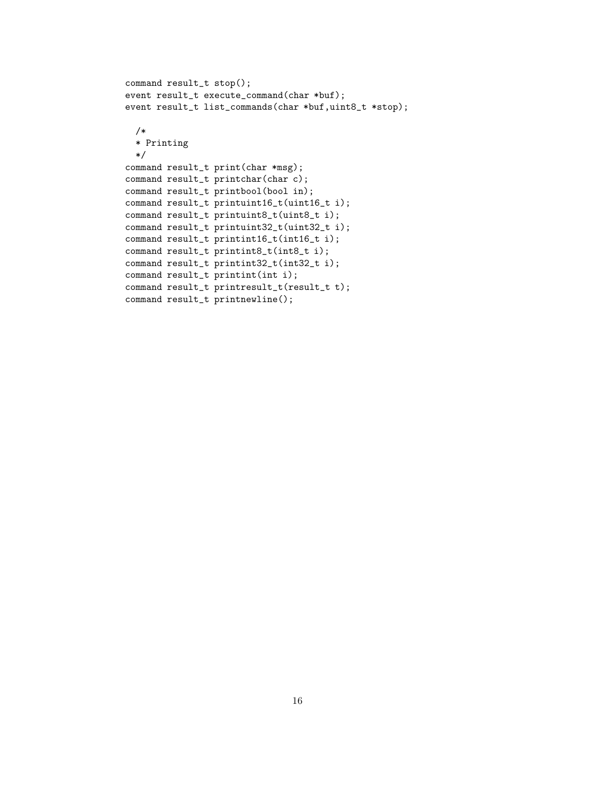```
command result_t stop();
event result_t execute_command(char *buf);
event result_t list_commands(char *buf,uint8_t *stop);
 /*
  * Printing
  */
command result_t print(char *msg);
command result_t printchar(char c);
command result_t printbool(bool in);
command result_t printuint16_t(uint16_t i);
command result_t printuint8_t(uint8_t i);
command result_t printuint32_t(uint32_t i);
command result_t printint16_t(int16_t i);
command result_t printint8_t(int8_t i);
command result_t printint32_t(int32_t i);
command result_t printint(int i);
command result_t printresult_t(result_t t);
command result_t printnewline();
```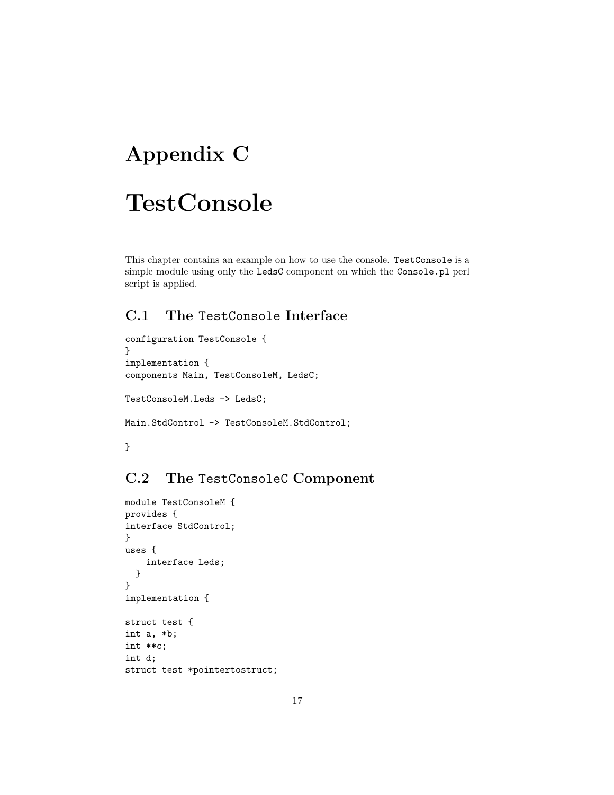## **Appendix C**

## **TestConsole**

This chapter contains an example on how to use the console. TestConsole is a simple module using only the LedsC component on which the Console.pl perl script is applied.

## **C.1 The** TestConsole **Interface**

```
configuration TestConsole {
}
implementation {
components Main, TestConsoleM, LedsC;
TestConsoleM.Leds -> LedsC;
Main.StdControl -> TestConsoleM.StdControl;
```
}

## **C.2 The** TestConsoleC **Component**

```
module TestConsoleM {
provides {
interface StdControl;
}
uses {
    interface Leds;
  }
}
implementation {
struct test {
int a, *b;
int **c;
int d;
struct test *pointertostruct;
```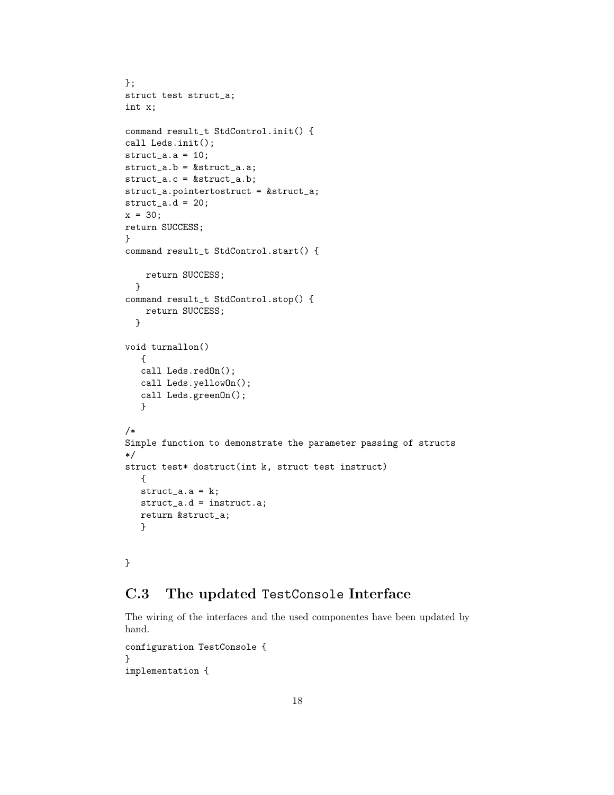```
};
struct test struct_a;
int x;
command result_t StdControl.init() {
call Leds.init();
struct_a.a = 10;
struct_a.b = &struct_a.a;
struct_a.c = &struct_a.b;
struct_a.pointertostruct = &struct_a;
struct_a.d = 20;
x = 30;
return SUCCESS;
}
command result_t StdControl.start() {
    return SUCCESS;
  }
command result_t StdControl.stop() {
   return SUCCESS;
  }
void turnallon()
   {
   call Leds.redOn();
   call Leds.yellowOn();
   call Leds.greenOn();
   }
/*
Simple function to demonstrate the parameter passing of structs
*/
struct test* dostruct(int k, struct test instruct)
   {
   struct_a.a = k;struct_a.d = instruct.a;
   return &struct_a;
   }
```
}

### **C.3 The updated** TestConsole **Interface**

The wiring of the interfaces and the used componentes have been updated by hand.

```
configuration TestConsole {
}
implementation {
```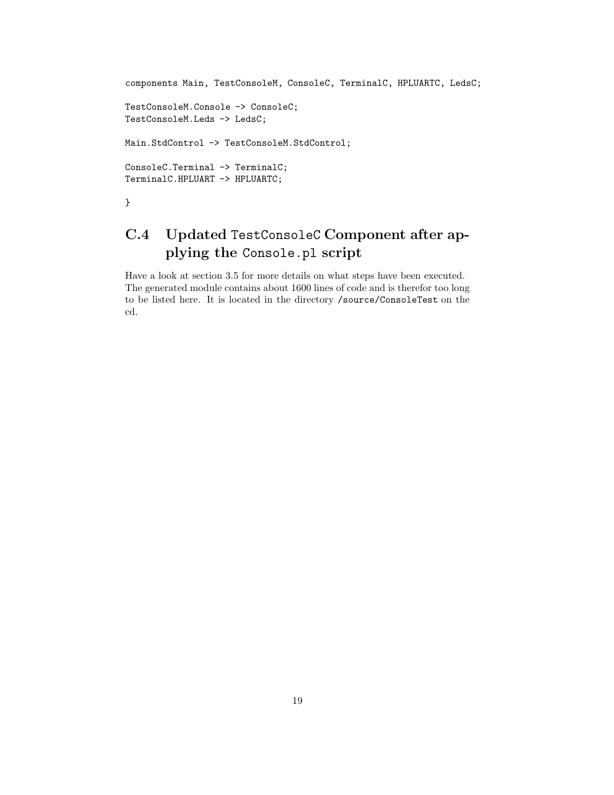```
components Main, TestConsoleM, ConsoleC, TerminalC, HPLUARTC, LedsC;
TestConsoleM.Console -> ConsoleC;
TestConsoleM.Leds -> LedsC;
Main.StdControl -> TestConsoleM.StdControl;
ConsoleC.Terminal -> TerminalC;
TerminalC.HPLUART -> HPLUARTC;
}
```
## **C.4 Updated** TestConsoleC **Component after applying the** Console.pl **script**

Have a look at section 3.5 for more details on what steps have been executed. The generated module contains about 1600 lines of code and is therefor too long to be listed here. It is located in the directory /source/ConsoleTest on the cd.